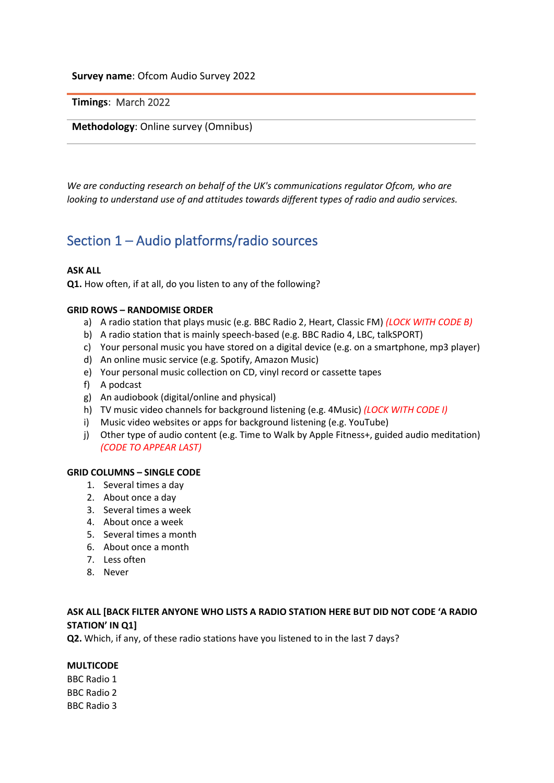## **Survey name**: Ofcom Audio Survey 2022

**Timings**: March 2022

#### **Methodology**: Online survey (Omnibus)

*We are conducting research on behalf of the UK's communications regulator Ofcom, who are looking to understand use of and attitudes towards different types of radio and audio services.* 

# Section 1 – Audio platforms/radio sources

#### **ASK ALL**

**Q1.** How often, if at all, do you listen to any of the following?

#### **GRID ROWS – RANDOMISE ORDER**

- a) A radio station that plays music (e.g. BBC Radio 2, Heart, Classic FM) *(LOCK WITH CODE B)*
- b) A radio station that is mainly speech-based (e.g. BBC Radio 4, LBC, talkSPORT)
- c) Your personal music you have stored on a digital device (e.g. on a smartphone, mp3 player)
- d) An online music service (e.g. Spotify, Amazon Music)
- e) Your personal music collection on CD, vinyl record or cassette tapes
- f) A podcast
- g) An audiobook (digital/online and physical)
- h) TV music video channels for background listening (e.g. 4Music) *(LOCK WITH CODE I)*
- i) Music video websites or apps for background listening (e.g. YouTube)
- j) Other type of audio content (e.g. Time to Walk by Apple Fitness+, guided audio meditation) *(CODE TO APPEAR LAST)*

#### **GRID COLUMNS – SINGLE CODE**

- 1. Several times a day
- 2. About once a day
- 3. Several times a week
- 4. About once a week
- 5. Several times a month
- 6. About once a month
- 7. Less often
- 8. Never

## **ASK ALL [BACK FILTER ANYONE WHO LISTS A RADIO STATION HERE BUT DID NOT CODE 'A RADIO STATION' IN Q1]**

**Q2.** Which, if any, of these radio stations have you listened to in the last 7 days?

#### **MULTICODE**

BBC Radio 1 BBC Radio 2 BBC Radio 3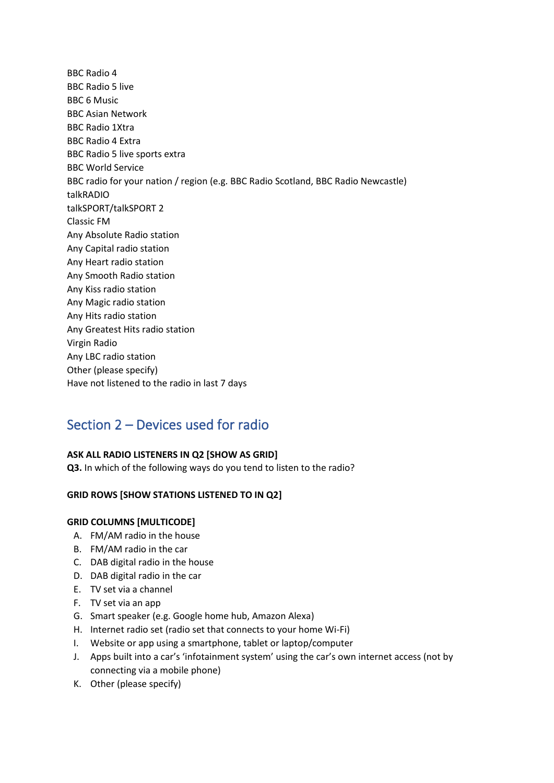BBC Radio 4 BBC Radio 5 live BBC 6 Music BBC Asian Network BBC Radio 1Xtra BBC Radio 4 Extra BBC Radio 5 live sports extra BBC World Service BBC radio for your nation / region (e.g. BBC Radio Scotland, BBC Radio Newcastle) talkRADIO talkSPORT/talkSPORT 2 Classic FM Any Absolute Radio station Any Capital radio station Any Heart radio station Any Smooth Radio station Any Kiss radio station Any Magic radio station Any Hits radio station Any Greatest Hits radio station Virgin Radio Any LBC radio station Other (please specify) Have not listened to the radio in last 7 days

# Section 2 – Devices used for radio

## **ASK ALL RADIO LISTENERS IN Q2 [SHOW AS GRID]**

**Q3.** In which of the following ways do you tend to listen to the radio?

## **GRID ROWS [SHOW STATIONS LISTENED TO IN Q2]**

## **GRID COLUMNS [MULTICODE]**

- A. FM/AM radio in the house
- B. FM/AM radio in the car
- C. DAB digital radio in the house
- D. DAB digital radio in the car
- E. TV set via a channel
- F. TV set via an app
- G. Smart speaker (e.g. Google home hub, Amazon Alexa)
- H. Internet radio set (radio set that connects to your home Wi-Fi)
- I. Website or app using a smartphone, tablet or laptop/computer
- J. Apps built into a car's 'infotainment system' using the car's own internet access (not by connecting via a mobile phone)
- K. Other (please specify)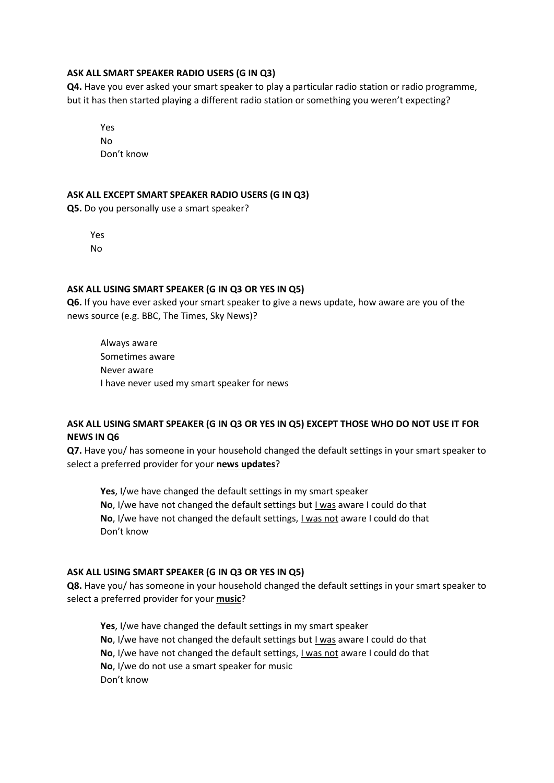#### **ASK ALL SMART SPEAKER RADIO USERS (G IN Q3)**

**Q4.** Have you ever asked your smart speaker to play a particular radio station or radio programme, but it has then started playing a different radio station or something you weren't expecting?

Yes

No Don't know

## **ASK ALL EXCEPT SMART SPEAKER RADIO USERS (G IN Q3)**

**Q5.** Do you personally use a smart speaker?

Yes No

## **ASK ALL USING SMART SPEAKER (G IN Q3 OR YES IN Q5)**

**Q6.** If you have ever asked your smart speaker to give a news update, how aware are you of the news source (e.g. BBC, The Times, Sky News)?

Always aware Sometimes aware Never aware I have never used my smart speaker for news

## **ASK ALL USING SMART SPEAKER (G IN Q3 OR YES IN Q5) EXCEPT THOSE WHO DO NOT USE IT FOR NEWS IN Q6**

**Q7.** Have you/ has someone in your household changed the default settings in your smart speaker to select a preferred provider for your **news updates**?

**Yes**, I/we have changed the default settings in my smart speaker **No**, I/we have not changed the default settings but I was aware I could do that **No**, I/we have not changed the default settings, I was not aware I could do that Don't know

#### **ASK ALL USING SMART SPEAKER (G IN Q3 OR YES IN Q5)**

**Q8.** Have you/ has someone in your household changed the default settings in your smart speaker to select a preferred provider for your **music**?

**Yes**, I/we have changed the default settings in my smart speaker **No**, I/we have not changed the default settings but I was aware I could do that **No**, I/we have not changed the default settings, I was not aware I could do that **No**, I/we do not use a smart speaker for music Don't know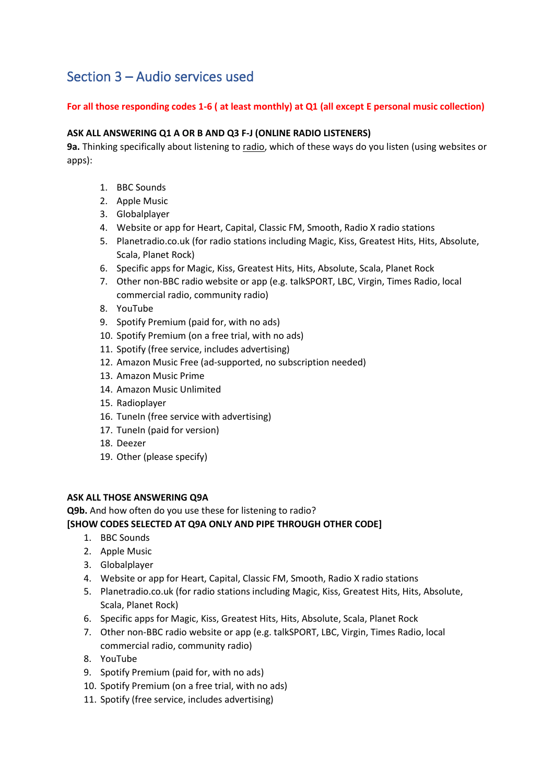# Section 3 – Audio services used

## **For all those responding codes 1-6 ( at least monthly) at Q1 (all except E personal music collection)**

## **ASK ALL ANSWERING Q1 A OR B AND Q3 F-J (ONLINE RADIO LISTENERS)**

**9a.** Thinking specifically about listening to radio, which of these ways do you listen (using websites or apps):

- 1. BBC Sounds
- 2. Apple Music
- 3. Globalplayer
- 4. Website or app for Heart, Capital, Classic FM, Smooth, Radio X radio stations
- 5. Planetradio.co.uk (for radio stations including Magic, Kiss, Greatest Hits, Hits, Absolute, Scala, Planet Rock)
- 6. Specific apps for Magic, Kiss, Greatest Hits, Hits, Absolute, Scala, Planet Rock
- 7. Other non-BBC radio website or app (e.g. talkSPORT, LBC, Virgin, Times Radio, local commercial radio, community radio)
- 8. YouTube
- 9. Spotify Premium (paid for, with no ads)
- 10. Spotify Premium (on a free trial, with no ads)
- 11. Spotify (free service, includes advertising)
- 12. Amazon Music Free (ad-supported, no subscription needed)
- 13. Amazon Music Prime
- 14. Amazon Music Unlimited
- 15. Radioplayer
- 16. TuneIn (free service with advertising)
- 17. TuneIn (paid for version)
- 18. Deezer
- 19. Other (please specify)

## **ASK ALL THOSE ANSWERING Q9A**

**Q9b.** And how often do you use these for listening to radio?

## **[SHOW CODES SELECTED AT Q9A ONLY AND PIPE THROUGH OTHER CODE]**

- 1. BBC Sounds
- 2. Apple Music
- 3. Globalplayer
- 4. Website or app for Heart, Capital, Classic FM, Smooth, Radio X radio stations
- 5. Planetradio.co.uk (for radio stations including Magic, Kiss, Greatest Hits, Hits, Absolute, Scala, Planet Rock)
- 6. Specific apps for Magic, Kiss, Greatest Hits, Hits, Absolute, Scala, Planet Rock
- 7. Other non-BBC radio website or app (e.g. talkSPORT, LBC, Virgin, Times Radio, local commercial radio, community radio)
- 8. YouTube
- 9. Spotify Premium (paid for, with no ads)
- 10. Spotify Premium (on a free trial, with no ads)
- 11. Spotify (free service, includes advertising)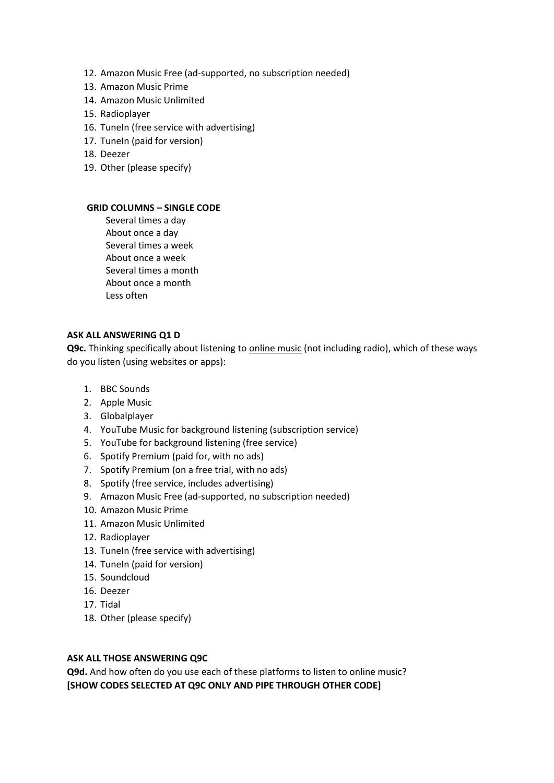- 12. Amazon Music Free (ad-supported, no subscription needed)
- 13. Amazon Music Prime
- 14. Amazon Music Unlimited
- 15. Radioplayer
- 16. TuneIn (free service with advertising)
- 17. TuneIn (paid for version)
- 18. Deezer
- 19. Other (please specify)

**1.** Several times a day **2.** About once a day **3.** Several times a week **4.** About once a week **5.** Several times a month **6.** About once a month **7.** Less often

## **ASK ALL ANSWERING Q1 D**

**Q9c.** Thinking specifically about listening to online music (not including radio), which of these ways do you listen (using websites or apps):

- 1. BBC Sounds
- 2. Apple Music
- 3. Globalplayer
- 4. YouTube Music for background listening (subscription service)
- 5. YouTube for background listening (free service)
- 6. Spotify Premium (paid for, with no ads)
- 7. Spotify Premium (on a free trial, with no ads)
- 8. Spotify (free service, includes advertising)
- 9. Amazon Music Free (ad-supported, no subscription needed)
- 10. Amazon Music Prime
- 11. Amazon Music Unlimited
- 12. Radioplayer
- 13. TuneIn (free service with advertising)
- 14. TuneIn (paid for version)
- 15. Soundcloud
- 16. Deezer
- 17. Tidal
- 18. Other (please specify)

#### **ASK ALL THOSE ANSWERING Q9C**

**Q9d.** And how often do you use each of these platforms to listen to online music? **[SHOW CODES SELECTED AT Q9C ONLY AND PIPE THROUGH OTHER CODE]**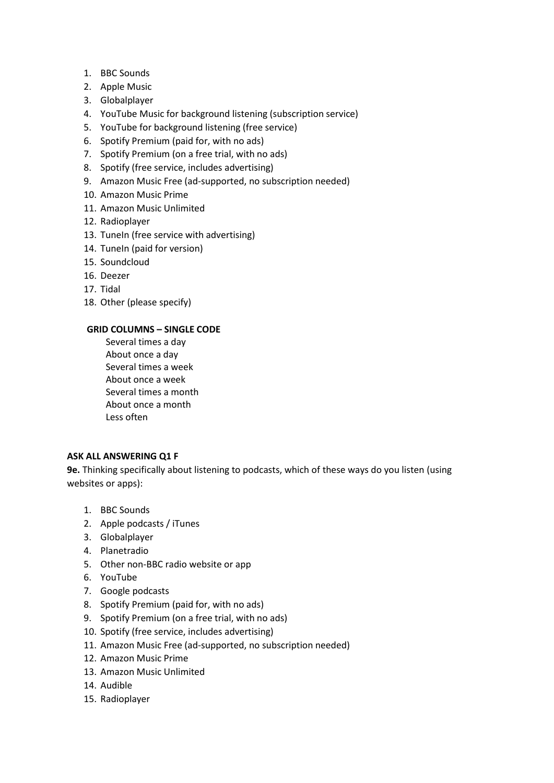- 1. BBC Sounds
- 2. Apple Music
- 3. Globalplayer
- 4. YouTube Music for background listening (subscription service)
- 5. YouTube for background listening (free service)
- 6. Spotify Premium (paid for, with no ads)
- 7. Spotify Premium (on a free trial, with no ads)
- 8. Spotify (free service, includes advertising)
- 9. Amazon Music Free (ad-supported, no subscription needed)
- 10. Amazon Music Prime
- 11. Amazon Music Unlimited
- 12. Radioplayer
- 13. TuneIn (free service with advertising)
- 14. TuneIn (paid for version)
- 15. Soundcloud
- 16. Deezer
- 17. Tidal
- 18. Other (please specify)

**1.** Several times a day **2.** About once a day **3.** Several times a week **4.** About once a week **5.** Several times a month **6.** About once a month **7.** Less often

#### **ASK ALL ANSWERING Q1 F**

**9e.** Thinking specifically about listening to podcasts, which of these ways do you listen (using websites or apps):

- 1. BBC Sounds
- 2. Apple podcasts / iTunes
- 3. Globalplayer
- 4. Planetradio
- 5. Other non-BBC radio website or app
- 6. YouTube
- 7. Google podcasts
- 8. Spotify Premium (paid for, with no ads)
- 9. Spotify Premium (on a free trial, with no ads)
- 10. Spotify (free service, includes advertising)
- 11. Amazon Music Free (ad-supported, no subscription needed)
- 12. Amazon Music Prime
- 13. Amazon Music Unlimited
- 14. Audible
- 15. Radioplayer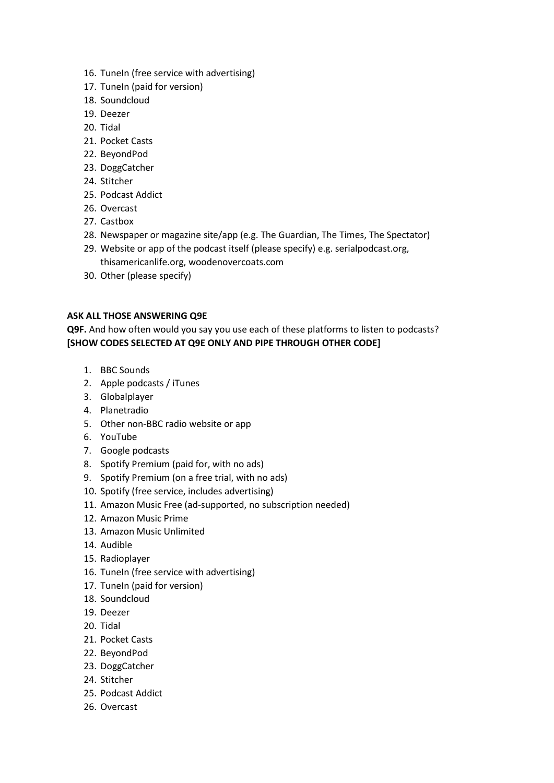- 16. TuneIn (free service with advertising)
- 17. TuneIn (paid for version)
- 18. Soundcloud
- 19. Deezer
- 20. Tidal
- 21. Pocket Casts
- 22. BeyondPod
- 23. DoggCatcher
- 24. Stitcher
- 25. Podcast Addict
- 26. Overcast
- 27. Castbox
- 28. Newspaper or magazine site/app (e.g. The Guardian, The Times, The Spectator)
- 29. Website or app of the podcast itself (please specify) e.g. serialpodcast.org, thisamericanlife.org, woodenovercoats.com
- 30. Other (please specify)

## **ASK ALL THOSE ANSWERING Q9E**

**Q9F.** And how often would you say you use each of these platforms to listen to podcasts? **[SHOW CODES SELECTED AT Q9E ONLY AND PIPE THROUGH OTHER CODE]**

- 1. BBC Sounds
- 2. Apple podcasts / iTunes
- 3. Globalplayer
- 4. Planetradio
- 5. Other non-BBC radio website or app
- 6. YouTube
- 7. Google podcasts
- 8. Spotify Premium (paid for, with no ads)
- 9. Spotify Premium (on a free trial, with no ads)
- 10. Spotify (free service, includes advertising)
- 11. Amazon Music Free (ad-supported, no subscription needed)
- 12. Amazon Music Prime
- 13. Amazon Music Unlimited
- 14. Audible
- 15. Radioplayer
- 16. TuneIn (free service with advertising)
- 17. TuneIn (paid for version)
- 18. Soundcloud
- 19. Deezer
- 20. Tidal
- 21. Pocket Casts
- 22. BeyondPod
- 23. DoggCatcher
- 24. Stitcher
- 25. Podcast Addict
- 26. Overcast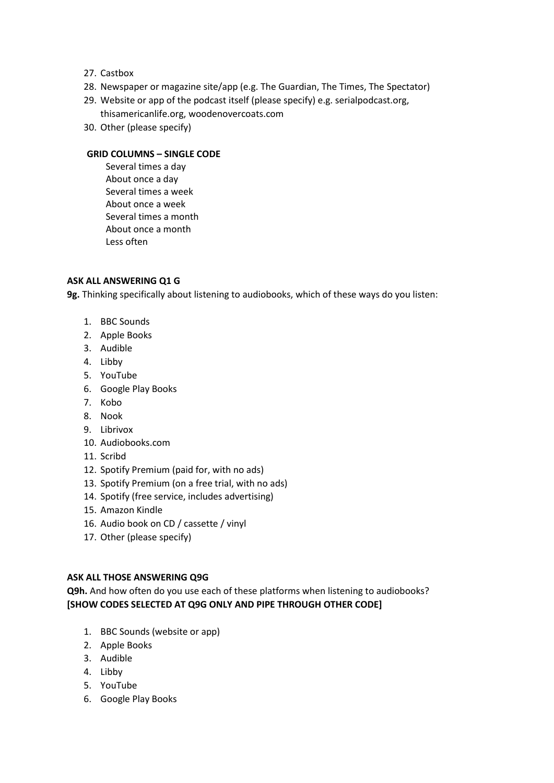- 27. Castbox
- 28. Newspaper or magazine site/app (e.g. The Guardian, The Times, The Spectator)
- 29. Website or app of the podcast itself (please specify) e.g. serialpodcast.org, thisamericanlife.org, woodenovercoats.com
- 30. Other (please specify)

**1.** Several times a day **2.** About once a day **3.** Several times a week **4.** About once a week **5.** Several times a month **6.** About once a month **7.** Less often

## **ASK ALL ANSWERING Q1 G**

**9g.** Thinking specifically about listening to audiobooks, which of these ways do you listen:

- 1. BBC Sounds
- 2. Apple Books
- 3. Audible
- 4. Libby
- 5. YouTube
- 6. Google Play Books
- 7. Kobo
- 8. Nook
- 9. Librivox
- 10. Audiobooks.com
- 11. Scribd
- 12. Spotify Premium (paid for, with no ads)
- 13. Spotify Premium (on a free trial, with no ads)
- 14. Spotify (free service, includes advertising)
- 15. Amazon Kindle
- 16. Audio book on CD / cassette / vinyl
- 17. Other (please specify)

#### **ASK ALL THOSE ANSWERING Q9G**

**Q9h.** And how often do you use each of these platforms when listening to audiobooks? **[SHOW CODES SELECTED AT Q9G ONLY AND PIPE THROUGH OTHER CODE]**

- 1. BBC Sounds (website or app)
- 2. Apple Books
- 3. Audible
- 4. Libby
- 5. YouTube
- 6. Google Play Books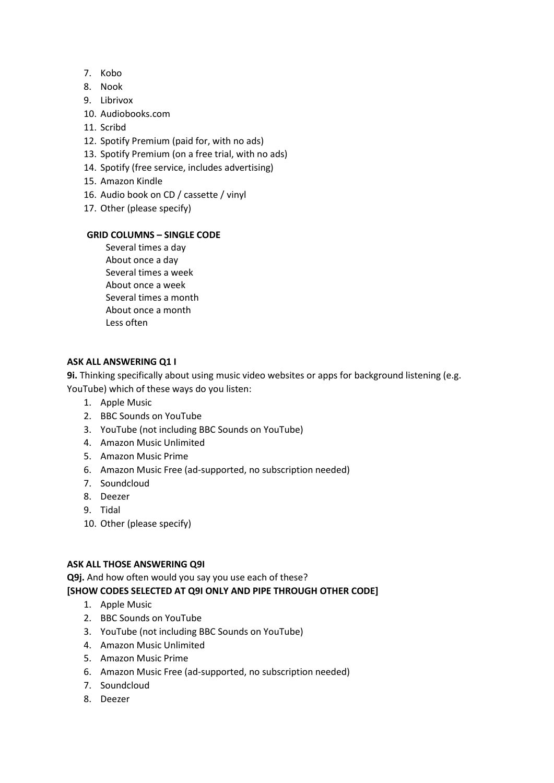- 7. Kobo
- 8. Nook
- 9. Librivox
- 10. Audiobooks.com
- 11. Scribd
- 12. Spotify Premium (paid for, with no ads)
- 13. Spotify Premium (on a free trial, with no ads)
- 14. Spotify (free service, includes advertising)
- 15. Amazon Kindle
- 16. Audio book on CD / cassette / vinyl
- 17. Other (please specify)

**1.** Several times a day **2.** About once a day **3.** Several times a week **4.** About once a week **5.** Several times a month **6.** About once a month **7.** Less often

## **ASK ALL ANSWERING Q1 I**

**9i.** Thinking specifically about using music video websites or apps for background listening (e.g.

- YouTube) which of these ways do you listen:
	- 1. Apple Music
	- 2. BBC Sounds on YouTube
	- 3. YouTube (not including BBC Sounds on YouTube)
	- 4. Amazon Music Unlimited
	- 5. Amazon Music Prime
	- 6. Amazon Music Free (ad-supported, no subscription needed)
	- 7. Soundcloud
	- 8. Deezer
	- 9. Tidal
	- 10. Other (please specify)

#### **ASK ALL THOSE ANSWERING Q9I**

**Q9j.** And how often would you say you use each of these?

#### **[SHOW CODES SELECTED AT Q9I ONLY AND PIPE THROUGH OTHER CODE]**

- 1. Apple Music
- 2. BBC Sounds on YouTube
- 3. YouTube (not including BBC Sounds on YouTube)
- 4. Amazon Music Unlimited
- 5. Amazon Music Prime
- 6. Amazon Music Free (ad-supported, no subscription needed)
- 7. Soundcloud
- 8. Deezer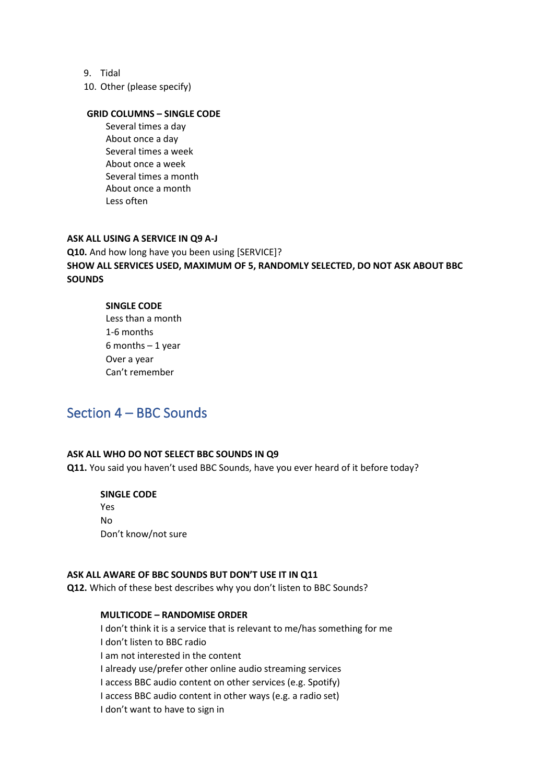- 9. Tidal
- 10. Other (please specify)

**1.** Several times a day **2.** About once a day **3.** Several times a week **4.** About once a week **5.** Several times a month **6.** About once a month **7.** Less often

## **ASK ALL USING A SERVICE IN Q9 A-J Q10.** And how long have you been using [SERVICE]? **SHOW ALL SERVICES USED, MAXIMUM OF 5, RANDOMLY SELECTED, DO NOT ASK ABOUT BBC SOUNDS**

#### **SINGLE CODE**

**1.** Less than a month **2.** 1-6 months **3.** 6 months – 1 year **4.** Over a year **5.** Can't remember

## Section 4 – BBC Sounds

#### **ASK ALL WHO DO NOT SELECT BBC SOUNDS IN Q9**

**Q11.** You said you haven't used BBC Sounds, have you ever heard of it before today?

#### **SINGLE CODE**  Yes

No Don't know/not sure

## **ASK ALL AWARE OF BBC SOUNDS BUT DON'T USE IT IN Q11**

**Q12.** Which of these best describes why you don't listen to BBC Sounds?

#### **MULTICODE – RANDOMISE ORDER**

I don't think it is a service that is relevant to me/has something for me I don't listen to BBC radio I am not interested in the content I already use/prefer other online audio streaming services I access BBC audio content on other services (e.g. Spotify) I access BBC audio content in other ways (e.g. a radio set) I don't want to have to sign in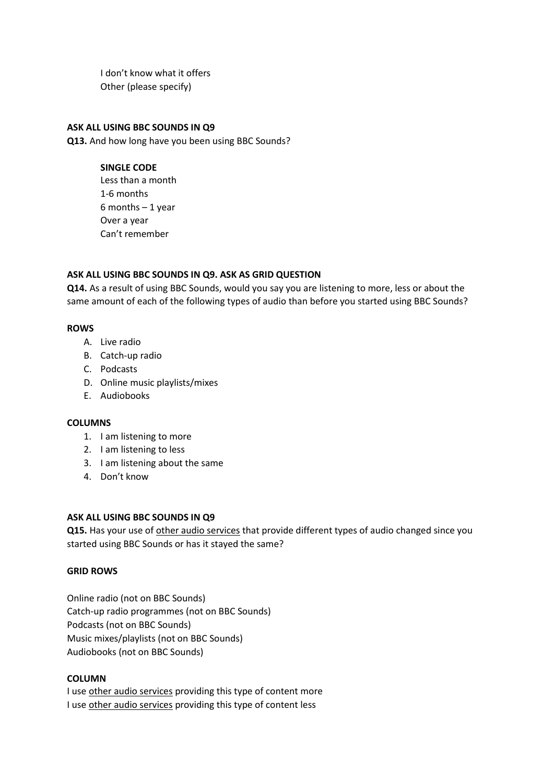I don't know what it offers Other (please specify)

#### **ASK ALL USING BBC SOUNDS IN Q9**

**Q13.** And how long have you been using BBC Sounds?

## **SINGLE CODE**

Less than a month 1-6 months 6 months – 1 year Over a year Can't remember

## **ASK ALL USING BBC SOUNDS IN Q9. ASK AS GRID QUESTION**

**Q14.** As a result of using BBC Sounds, would you say you are listening to more, less or about the same amount of each of the following types of audio than before you started using BBC Sounds?

## **ROWS**

- A. Live radio
- B. Catch-up radio
- C. Podcasts
- D. Online music playlists/mixes
- E. Audiobooks

#### **COLUMNS**

- 1. I am listening to more
- 2. I am listening to less
- 3. I am listening about the same
- 4. Don't know

#### **ASK ALL USING BBC SOUNDS IN Q9**

**Q15.** Has your use of other audio services that provide different types of audio changed since you started using BBC Sounds or has it stayed the same?

#### **GRID ROWS**

Online radio (not on BBC Sounds) Catch-up radio programmes (not on BBC Sounds) Podcasts (not on BBC Sounds) Music mixes/playlists (not on BBC Sounds) Audiobooks (not on BBC Sounds)

#### **COLUMN**

I use other audio services providing this type of content more I use other audio services providing this type of content less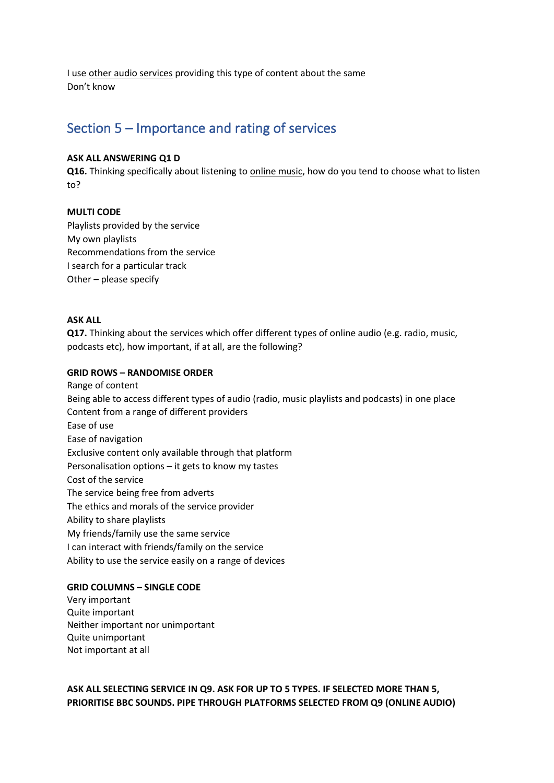I use other audio services providing this type of content about the same Don't know

## Section 5 – Importance and rating of services

#### **ASK ALL ANSWERING Q1 D**

**Q16.** Thinking specifically about listening to online music, how do you tend to choose what to listen to?

#### **MULTI CODE**

Playlists provided by the service My own playlists Recommendations from the service I search for a particular track Other – please specify

#### **ASK ALL**

**Q17.** Thinking about the services which offer different types of online audio (e.g. radio, music, podcasts etc), how important, if at all, are the following?

#### **GRID ROWS – RANDOMISE ORDER**

Range of content Being able to access different types of audio (radio, music playlists and podcasts) in one place Content from a range of different providers Ease of use Ease of navigation Exclusive content only available through that platform Personalisation options – it gets to know my tastes Cost of the service The service being free from adverts The ethics and morals of the service provider Ability to share playlists My friends/family use the same service I can interact with friends/family on the service Ability to use the service easily on a range of devices

#### **GRID COLUMNS – SINGLE CODE**

Very important Quite important Neither important nor unimportant Quite unimportant Not important at all

**ASK ALL SELECTING SERVICE IN Q9. ASK FOR UP TO 5 TYPES. IF SELECTED MORE THAN 5, PRIORITISE BBC SOUNDS. PIPE THROUGH PLATFORMS SELECTED FROM Q9 (ONLINE AUDIO)**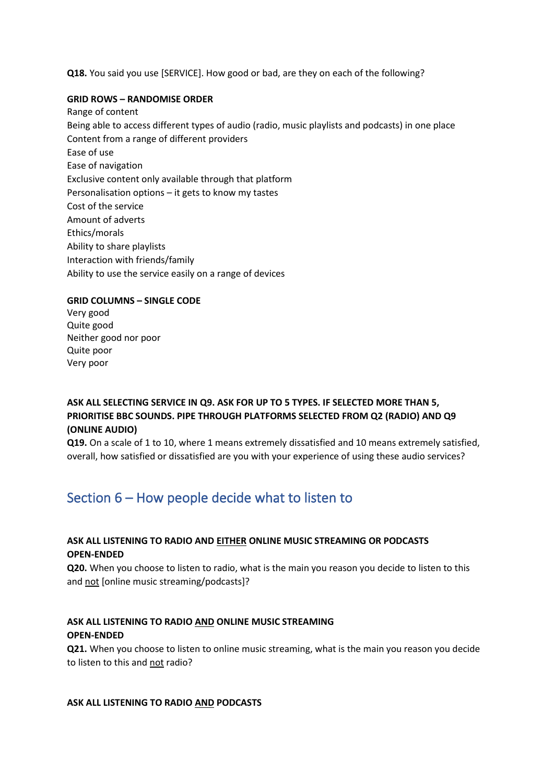**Q18.** You said you use [SERVICE]. How good or bad, are they on each of the following?

#### **GRID ROWS – RANDOMISE ORDER**

Range of content Being able to access different types of audio (radio, music playlists and podcasts) in one place Content from a range of different providers Ease of use Ease of navigation Exclusive content only available through that platform Personalisation options – it gets to know my tastes Cost of the service Amount of adverts Ethics/morals Ability to share playlists Interaction with friends/family Ability to use the service easily on a range of devices

## **GRID COLUMNS – SINGLE CODE**

Very good Quite good Neither good nor poor Quite poor Very poor

## **ASK ALL SELECTING SERVICE IN Q9. ASK FOR UP TO 5 TYPES. IF SELECTED MORE THAN 5, PRIORITISE BBC SOUNDS. PIPE THROUGH PLATFORMS SELECTED FROM Q2 (RADIO) AND Q9 (ONLINE AUDIO)**

**Q19.** On a scale of 1 to 10, where 1 means extremely dissatisfied and 10 means extremely satisfied, overall, how satisfied or dissatisfied are you with your experience of using these audio services?

# Section 6 – How people decide what to listen to

## **ASK ALL LISTENING TO RADIO AND EITHER ONLINE MUSIC STREAMING OR PODCASTS OPEN-ENDED**

**Q20.** When you choose to listen to radio, what is the main you reason you decide to listen to this and not [online music streaming/podcasts]?

## **ASK ALL LISTENING TO RADIO AND ONLINE MUSIC STREAMING OPEN-ENDED**

**Q21.** When you choose to listen to online music streaming, what is the main you reason you decide to listen to this and not radio?

#### **ASK ALL LISTENING TO RADIO AND PODCASTS**